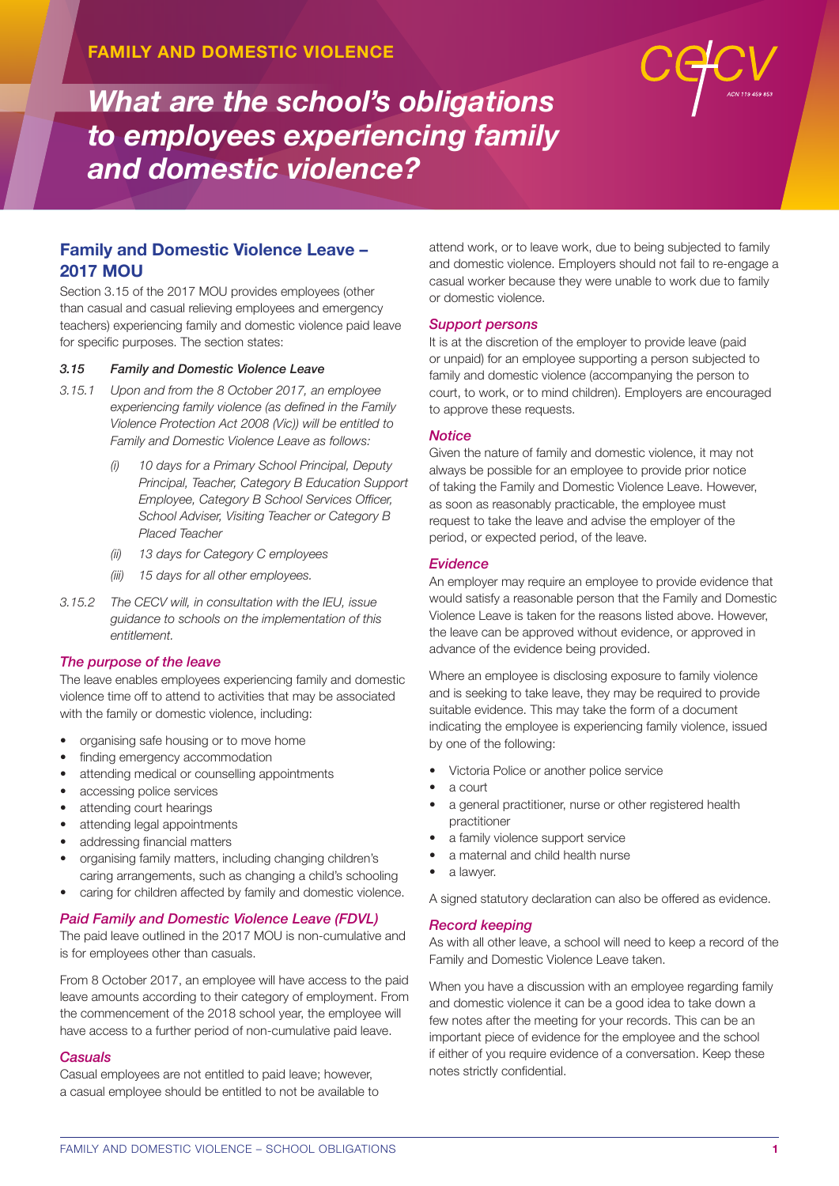

# **Family and Domestic Violence Leave – 2017 MOU**

Section 3.15 of the 2017 MOU provides employees (other than casual and casual relieving employees and emergency teachers) experiencing family and domestic violence paid leave for specific purposes. The section states:

### *3.15 Family and Domestic Violence Leave*

- *3.15.1 Upon and from the 8 October 2017, an employee experiencing family violence (as defined in the Family Violence Protection Act 2008 (Vic)) will be entitled to Family and Domestic Violence Leave as follows:*
	- *(i) 10 days for a Primary School Principal, Deputy Principal, Teacher, Category B Education Support Employee, Category B School Services Officer, School Adviser, Visiting Teacher or Category B Placed Teacher*
	- *(ii) 13 days for Category C employees*
	- *(iii) 15 days for all other employees.*
- *3.15.2 The CECV will, in consultation with the IEU, issue guidance to schools on the implementation of this entitlement.*

#### *The purpose of the leave*

The leave enables employees experiencing family and domestic violence time off to attend to activities that may be associated with the family or domestic violence, including:

- organising safe housing or to move home
- finding emergency accommodation
- attending medical or counselling appointments
- accessing police services
- attending court hearings
- attending legal appointments
- addressing financial matters
- organising family matters, including changing children's caring arrangements, such as changing a child's schooling
- caring for children affected by family and domestic violence.

### *Paid Family and Domestic Violence Leave (FDVL)*

The paid leave outlined in the 2017 MOU is non-cumulative and is for employees other than casuals.

From 8 October 2017, an employee will have access to the paid leave amounts according to their category of employment. From the commencement of the 2018 school year, the employee will have access to a further period of non-cumulative paid leave.

### *Casuals*

Casual employees are not entitled to paid leave; however, a casual employee should be entitled to not be available to attend work, or to leave work, due to being subjected to family and domestic violence. Employers should not fail to re-engage a casual worker because they were unable to work due to family or domestic violence.

#### *Support persons*

It is at the discretion of the employer to provide leave (paid or unpaid) for an employee supporting a person subjected to family and domestic violence (accompanying the person to court, to work, or to mind children). Employers are encouraged to approve these requests.

#### *Notice*

Given the nature of family and domestic violence, it may not always be possible for an employee to provide prior notice of taking the Family and Domestic Violence Leave. However, as soon as reasonably practicable, the employee must request to take the leave and advise the employer of the period, or expected period, of the leave.

#### *Evidence*

An employer may require an employee to provide evidence that would satisfy a reasonable person that the Family and Domestic Violence Leave is taken for the reasons listed above. However, the leave can be approved without evidence, or approved in advance of the evidence being provided.

Where an employee is disclosing exposure to family violence and is seeking to take leave, they may be required to provide suitable evidence. This may take the form of a document indicating the employee is experiencing family violence, issued by one of the following:

- Victoria Police or another police service
- a court
- a general practitioner, nurse or other registered health practitioner
- a family violence support service
- a maternal and child health nurse
- a lawyer.

A signed statutory declaration can also be offered as evidence.

#### *Record keeping*

As with all other leave, a school will need to keep a record of the Family and Domestic Violence Leave taken.

When you have a discussion with an employee regarding family and domestic violence it can be a good idea to take down a few notes after the meeting for your records. This can be an important piece of evidence for the employee and the school if either of you require evidence of a conversation. Keep these notes strictly confidential.